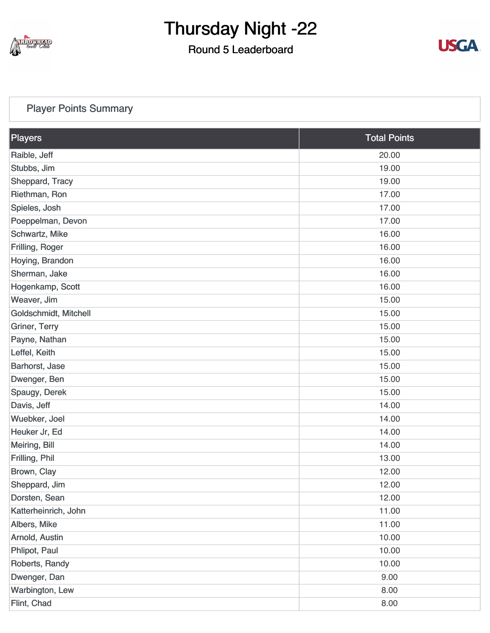

### Round 5 Leaderboard



### [Player Points Summary](https://static.golfgenius.com/v2tournaments/total_points?league_id=8410389304542504110&round_id=8410393917471598047)

| Players               | <b>Total Points</b> |
|-----------------------|---------------------|
| Raible, Jeff          | 20.00               |
| Stubbs, Jim           | 19.00               |
| Sheppard, Tracy       | 19.00               |
| Riethman, Ron         | 17.00               |
| Spieles, Josh         | 17.00               |
| Poeppelman, Devon     | 17.00               |
| Schwartz, Mike        | 16.00               |
| Frilling, Roger       | 16.00               |
| Hoying, Brandon       | 16.00               |
| Sherman, Jake         | 16.00               |
| Hogenkamp, Scott      | 16.00               |
| Weaver, Jim           | 15.00               |
| Goldschmidt, Mitchell | 15.00               |
| Griner, Terry         | 15.00               |
| Payne, Nathan         | 15.00               |
| Leffel, Keith         | 15.00               |
| Barhorst, Jase        | 15.00               |
| Dwenger, Ben          | 15.00               |
| Spaugy, Derek         | 15.00               |
| Davis, Jeff           | 14.00               |
| Wuebker, Joel         | 14.00               |
| Heuker Jr, Ed         | 14.00               |
| Meiring, Bill         | 14.00               |
| Frilling, Phil        | 13.00               |
| Brown, Clay           | 12.00               |
| Sheppard, Jim         | 12.00               |
| Dorsten, Sean         | 12.00               |
| Katterheinrich, John  | 11.00               |
| Albers, Mike          | 11.00               |
| Arnold, Austin        | 10.00               |
| Phlipot, Paul         | 10.00               |
| Roberts, Randy        | 10.00               |
| Dwenger, Dan          | 9.00                |
| Warbington, Lew       | 8.00                |
| Flint, Chad           | 8.00                |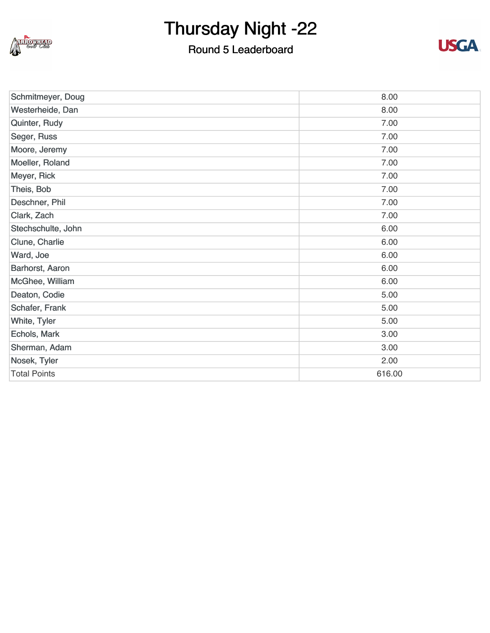

### Round 5 Leaderboard



| Schmitmeyer, Doug   | 8.00   |
|---------------------|--------|
| Westerheide, Dan    | 8.00   |
| Quinter, Rudy       | 7.00   |
| Seger, Russ         | 7.00   |
| Moore, Jeremy       | 7.00   |
| Moeller, Roland     | 7.00   |
| Meyer, Rick         | 7.00   |
| Theis, Bob          | 7.00   |
| Deschner, Phil      | 7.00   |
| Clark, Zach         | 7.00   |
| Stechschulte, John  | 6.00   |
| Clune, Charlie      | 6.00   |
| Ward, Joe           | 6.00   |
| Barhorst, Aaron     | 6.00   |
| McGhee, William     | 6.00   |
| Deaton, Codie       | 5.00   |
| Schafer, Frank      | 5.00   |
| White, Tyler        | 5.00   |
| Echols, Mark        | 3.00   |
| Sherman, Adam       | 3.00   |
| Nosek, Tyler        | 2.00   |
| <b>Total Points</b> | 616.00 |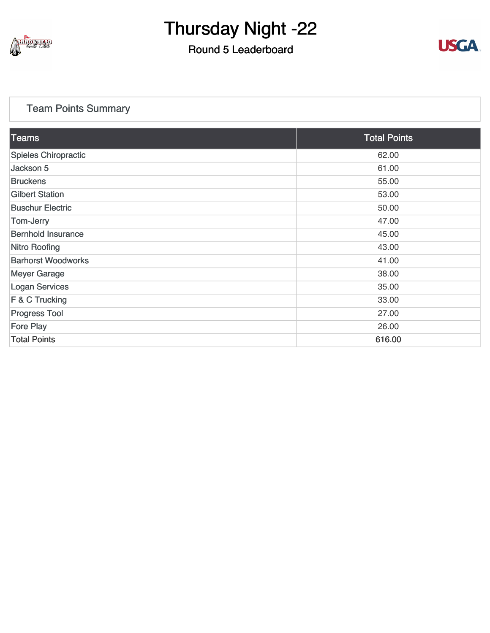

### Round 5 Leaderboard



### [Team Points Summary](https://static.golfgenius.com/v2tournaments/team_points?league_id=8410389304542504110&round_id=8410393917471598047)

| <b>Teams</b>                | <b>Total Points</b> |
|-----------------------------|---------------------|
| <b>Spieles Chiropractic</b> | 62.00               |
| Jackson 5                   | 61.00               |
| <b>Bruckens</b>             | 55.00               |
| <b>Gilbert Station</b>      | 53.00               |
| <b>Buschur Electric</b>     | 50.00               |
| Tom-Jerry                   | 47.00               |
| <b>Bernhold Insurance</b>   | 45.00               |
| <b>Nitro Roofing</b>        | 43.00               |
| <b>Barhorst Woodworks</b>   | 41.00               |
| <b>Meyer Garage</b>         | 38.00               |
| <b>Logan Services</b>       | 35.00               |
| F & C Trucking              | 33.00               |
| <b>Progress Tool</b>        | 27.00               |
| <b>Fore Play</b>            | 26.00               |
| <b>Total Points</b>         | 616.00              |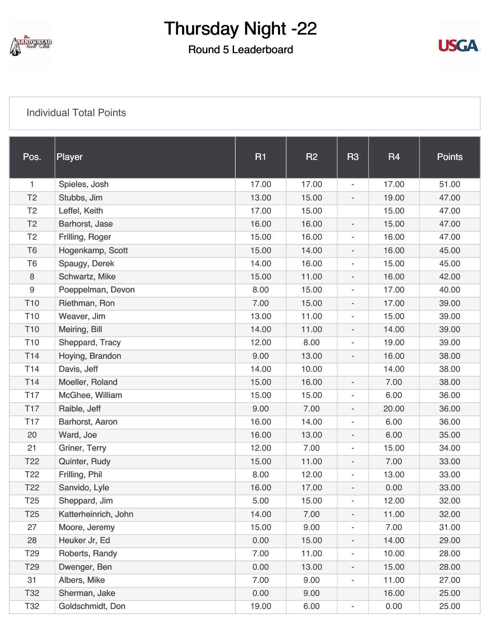

Round 5 Leaderboard



#### [Individual Total Points](https://static.golfgenius.com/v2tournaments/8410475985941571039?called_from=&round_index=5)

| Pos.            | Player               | R1    | R2    | R <sub>3</sub>               | <b>R4</b> | <b>Points</b> |
|-----------------|----------------------|-------|-------|------------------------------|-----------|---------------|
| 1               | Spieles, Josh        | 17.00 | 17.00 | $\overline{\phantom{a}}$     | 17.00     | 51.00         |
| T <sub>2</sub>  | Stubbs, Jim          | 13.00 | 15.00 | $\overline{\phantom{a}}$     | 19.00     | 47.00         |
| T <sub>2</sub>  | Leffel, Keith        | 17.00 | 15.00 |                              | 15.00     | 47.00         |
| T <sub>2</sub>  | Barhorst, Jase       | 16.00 | 16.00 | $\overline{\phantom{a}}$     | 15.00     | 47.00         |
| T <sub>2</sub>  | Frilling, Roger      | 15.00 | 16.00 | $\overline{\phantom{a}}$     | 16.00     | 47.00         |
| T <sub>6</sub>  | Hogenkamp, Scott     | 15.00 | 14.00 | $\overline{\phantom{a}}$     | 16.00     | 45.00         |
| T <sub>6</sub>  | Spaugy, Derek        | 14.00 | 16.00 | $\overline{\phantom{a}}$     | 15.00     | 45.00         |
| 8               | Schwartz, Mike       | 15.00 | 11.00 | $\overline{\phantom{a}}$     | 16.00     | 42.00         |
| 9               | Poeppelman, Devon    | 8.00  | 15.00 | $\overline{\phantom{a}}$     | 17.00     | 40.00         |
| T <sub>10</sub> | Riethman, Ron        | 7.00  | 15.00 | $\overline{\phantom{a}}$     | 17.00     | 39.00         |
| T <sub>10</sub> | Weaver, Jim          | 13.00 | 11.00 | $\overline{\phantom{a}}$     | 15.00     | 39.00         |
| T <sub>10</sub> | Meiring, Bill        | 14.00 | 11.00 | $\overline{\phantom{a}}$     | 14.00     | 39.00         |
| T <sub>10</sub> | Sheppard, Tracy      | 12.00 | 8.00  | $\overline{\phantom{a}}$     | 19.00     | 39.00         |
| T <sub>14</sub> | Hoying, Brandon      | 9.00  | 13.00 | $\overline{\phantom{a}}$     | 16.00     | 38.00         |
| T <sub>14</sub> | Davis, Jeff          | 14.00 | 10.00 |                              | 14.00     | 38.00         |
| T14             | Moeller, Roland      | 15.00 | 16.00 | $\overline{\phantom{a}}$     | 7.00      | 38.00         |
| <b>T17</b>      | McGhee, William      | 15.00 | 15.00 | $\overline{\phantom{a}}$     | 6.00      | 36.00         |
| T <sub>17</sub> | Raible, Jeff         | 9.00  | 7.00  | $\overline{\phantom{a}}$     | 20.00     | 36.00         |
| T <sub>17</sub> | Barhorst, Aaron      | 16.00 | 14.00 | $\overline{\phantom{a}}$     | 6.00      | 36.00         |
| 20              | Ward, Joe            | 16.00 | 13.00 | $\overline{\phantom{a}}$     | 6.00      | 35.00         |
| 21              | Griner, Terry        | 12.00 | 7.00  | $\overline{\phantom{a}}$     | 15.00     | 34.00         |
| T <sub>22</sub> | Quinter, Rudy        | 15.00 | 11.00 | $\overline{\phantom{a}}$     | 7.00      | 33.00         |
| T <sub>22</sub> | Frilling, Phil       | 8.00  | 12.00 | $\overline{\phantom{a}}$     | 13.00     | 33.00         |
| T <sub>22</sub> | Sanvido, Lyle        | 16.00 | 17.00 | $\overline{\phantom{0}}$     | 0.00      | 33.00         |
| T <sub>25</sub> | Sheppard, Jim        | 5.00  | 15.00 | $\overline{\phantom{a}}$     | 12.00     | 32.00         |
| T <sub>25</sub> | Katterheinrich, John | 14.00 | 7.00  | ۰.                           | 11.00     | 32.00         |
| 27              | Moore, Jeremy        | 15.00 | 9.00  | $\overline{\phantom{a}}$     | 7.00      | 31.00         |
| 28              | Heuker Jr, Ed        | 0.00  | 15.00 | $\overline{\phantom{a}}$     | 14.00     | 29.00         |
| T <sub>29</sub> | Roberts, Randy       | 7.00  | 11.00 | $\overline{\phantom{a}}$     | 10.00     | 28.00         |
| T <sub>29</sub> | Dwenger, Ben         | 0.00  | 13.00 | $\overline{\phantom{a}}$     | 15.00     | 28.00         |
| 31              | Albers, Mike         | 7.00  | 9.00  | $\overline{\phantom{a}}$     | 11.00     | 27.00         |
| T32             | Sherman, Jake        | 0.00  | 9.00  |                              | 16.00     | 25.00         |
| T32             | Goldschmidt, Don     | 19.00 | 6.00  | $\qquad \qquad \blacksquare$ | 0.00      | 25.00         |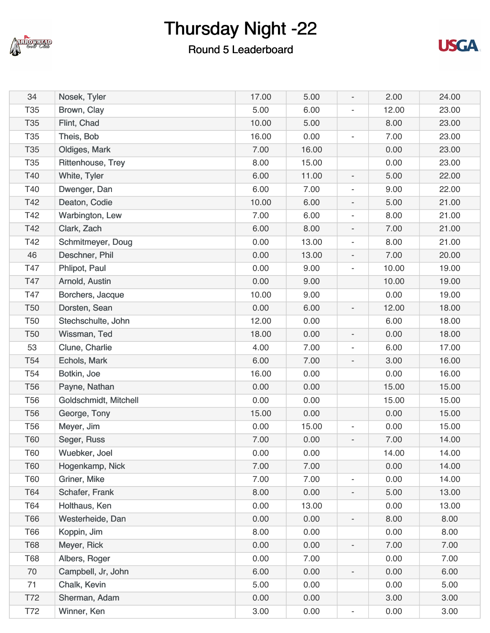

### Round 5 Leaderboard



| 34              | Nosek, Tyler          | 17.00 | 5.00  | $\overline{\phantom{a}}$ | 2.00  | 24.00 |
|-----------------|-----------------------|-------|-------|--------------------------|-------|-------|
| T <sub>35</sub> | Brown, Clay           | 5.00  | 6.00  | $\overline{a}$           | 12.00 | 23.00 |
| <b>T35</b>      | Flint, Chad           | 10.00 | 5.00  |                          | 8.00  | 23.00 |
| T <sub>35</sub> | Theis, Bob            | 16.00 | 0.00  | $\overline{\phantom{a}}$ | 7.00  | 23.00 |
| T <sub>35</sub> | Oldiges, Mark         | 7.00  | 16.00 |                          | 0.00  | 23.00 |
| T <sub>35</sub> | Rittenhouse, Trey     | 8.00  | 15.00 |                          | 0.00  | 23.00 |
| T40             | White, Tyler          | 6.00  | 11.00 | $\overline{\phantom{a}}$ | 5.00  | 22.00 |
| T40             | Dwenger, Dan          | 6.00  | 7.00  | $\overline{\phantom{a}}$ | 9.00  | 22.00 |
| T42             | Deaton, Codie         | 10.00 | 6.00  | $\overline{\phantom{a}}$ | 5.00  | 21.00 |
| T42             | Warbington, Lew       | 7.00  | 6.00  | $\overline{\phantom{a}}$ | 8.00  | 21.00 |
| T42             | Clark, Zach           | 6.00  | 8.00  | $\overline{\phantom{a}}$ | 7.00  | 21.00 |
| T42             | Schmitmeyer, Doug     | 0.00  | 13.00 | $\overline{\phantom{a}}$ | 8.00  | 21.00 |
| 46              | Deschner, Phil        | 0.00  | 13.00 | $\overline{\phantom{a}}$ | 7.00  | 20.00 |
| T47             | Phlipot, Paul         | 0.00  | 9.00  | $\overline{a}$           | 10.00 | 19.00 |
| T47             | Arnold, Austin        | 0.00  | 9.00  |                          | 10.00 | 19.00 |
| T47             | Borchers, Jacque      | 10.00 | 9.00  |                          | 0.00  | 19.00 |
| <b>T50</b>      | Dorsten, Sean         | 0.00  | 6.00  | $\overline{\phantom{a}}$ | 12.00 | 18.00 |
| <b>T50</b>      | Stechschulte, John    | 12.00 | 0.00  |                          | 6.00  | 18.00 |
| <b>T50</b>      | Wissman, Ted          | 18.00 | 0.00  | $\overline{\phantom{a}}$ | 0.00  | 18.00 |
| 53              | Clune, Charlie        | 4.00  | 7.00  | $\overline{\phantom{a}}$ | 6.00  | 17.00 |
| T <sub>54</sub> | Echols, Mark          | 6.00  | 7.00  | $\overline{\phantom{a}}$ | 3.00  | 16.00 |
| T <sub>54</sub> | Botkin, Joe           | 16.00 | 0.00  |                          | 0.00  | 16.00 |
| <b>T56</b>      | Payne, Nathan         | 0.00  | 0.00  |                          | 15.00 | 15.00 |
| <b>T56</b>      | Goldschmidt, Mitchell | 0.00  | 0.00  |                          | 15.00 | 15.00 |
| <b>T56</b>      | George, Tony          | 15.00 | 0.00  |                          | 0.00  | 15.00 |
| <b>T56</b>      | Meyer, Jim            | 0.00  | 15.00 | $\overline{\phantom{a}}$ | 0.00  | 15.00 |
| <b>T60</b>      | Seger, Russ           | 7.00  | 0.00  | $\overline{\phantom{a}}$ | 7.00  | 14.00 |
| T60             | Wuebker, Joel         | 0.00  | 0.00  |                          | 14.00 | 14.00 |
| <b>T60</b>      | Hogenkamp, Nick       | 7.00  | 7.00  |                          | 0.00  | 14.00 |
| T60             | Griner, Mike          | 7.00  | 7.00  | $\overline{\phantom{a}}$ | 0.00  | 14.00 |
| T64             | Schafer, Frank        | 8.00  | 0.00  | $\overline{\phantom{a}}$ | 5.00  | 13.00 |
| T64             | Holthaus, Ken         | 0.00  | 13.00 |                          | 0.00  | 13.00 |
| T66             | Westerheide, Dan      | 0.00  | 0.00  | $\overline{\phantom{a}}$ | 8.00  | 8.00  |
| T66             | Koppin, Jim           | 8.00  | 0.00  |                          | 0.00  | 8.00  |
| <b>T68</b>      | Meyer, Rick           | 0.00  | 0.00  | $\overline{\phantom{0}}$ | 7.00  | 7.00  |
| <b>T68</b>      | Albers, Roger         | 0.00  | 7.00  |                          | 0.00  | 7.00  |
| 70              | Campbell, Jr, John    | 6.00  | 0.00  | $\overline{\phantom{a}}$ | 0.00  | 6.00  |
| 71              | Chalk, Kevin          | 5.00  | 0.00  |                          | 0.00  | 5.00  |
| T72             | Sherman, Adam         | 0.00  | 0.00  |                          | 3.00  | 3.00  |
| T72             | Winner, Ken           | 3.00  | 0.00  | $\overline{\phantom{0}}$ | 0.00  | 3.00  |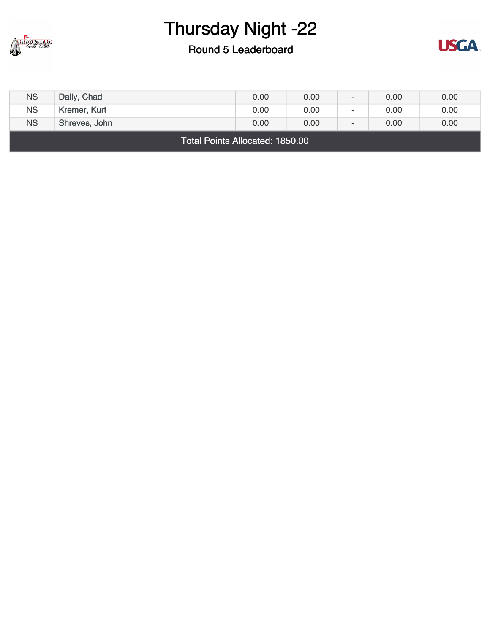

### Round 5 Leaderboard



| <b>NS</b>          | Dally, Chad   | 0.00 | 0.00 | $\overline{\phantom{0}}$ | 0.00 | 0.00 |
|--------------------|---------------|------|------|--------------------------|------|------|
| <b>NS</b>          | Kremer, Kurt  | 0.00 | 0.00 | $\overline{\phantom{0}}$ | 0.00 | 0.00 |
| <b>NS</b>          | Shreves, John | 0.00 | 0.00 | $\overline{\phantom{0}}$ | 0.00 | 0.00 |
| _ _ _ _ _ _ _<br>. |               |      |      |                          |      |      |

Total Points Allocated: 1850.00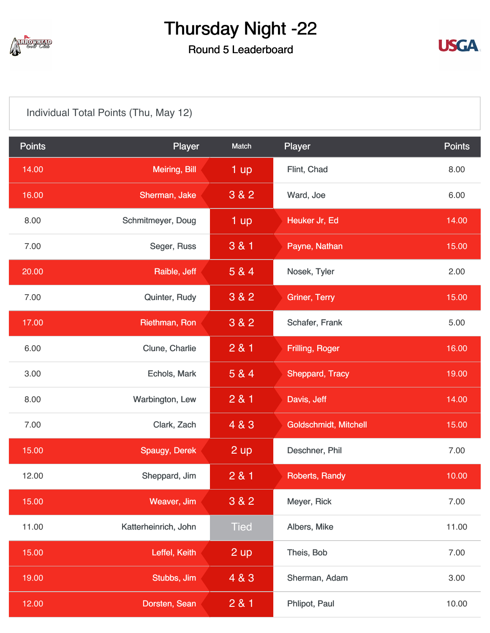

### Round 5 Leaderboard



[Individual Total Points \(Thu, May 12\)](https://static.golfgenius.com/v2tournaments/8410475997316523491?called_from=&round_index=5)

| <b>Points</b> | Player               | Match            | Player                       | <b>Points</b> |
|---------------|----------------------|------------------|------------------------------|---------------|
| 14.00         | <b>Meiring, Bill</b> | 1 up             | Flint, Chad                  | 8.00          |
| 16.00         | Sherman, Jake        | 3 & 2            | Ward, Joe                    | 6.00          |
| 8.00          | Schmitmeyer, Doug    | 1 up             | Heuker Jr, Ed                | 14.00         |
| 7.00          | Seger, Russ          | 3 & 1            | Payne, Nathan                | 15.00         |
| 20.00         | Raible, Jeff         | 5 & 4            | Nosek, Tyler                 | 2.00          |
| 7.00          | Quinter, Rudy        | 3 & 2            | <b>Griner, Terry</b>         | 15.00         |
| 17.00         | Riethman, Ron        | 3 & 2            | Schafer, Frank               | 5.00          |
| 6.00          | Clune, Charlie       | 2 & 1            | Frilling, Roger              | 16.00         |
| 3.00          | Echols, Mark         | 5 & 4            | <b>Sheppard, Tracy</b>       | 19.00         |
| 8.00          | Warbington, Lew      | 281              | Davis, Jeff                  | 14.00         |
| 7.00          | Clark, Zach          | 4 & 3            | <b>Goldschmidt, Mitchell</b> | 15.00         |
| 15.00         | Spaugy, Derek        | $2 \, \text{up}$ | Deschner, Phil               | 7.00          |
| 12.00         | Sheppard, Jim        | 281              | Roberts, Randy               | 10.00         |
| 15.00         | Weaver, Jim          | 3 & 2            | Meyer, Rick                  | 7.00          |
| 11.00         | Katterheinrich, John | <b>Tied</b>      | Albers, Mike                 | 11.00         |
| 15.00         | Leffel, Keith        | 2 up             | Theis, Bob                   | 7.00          |
| 19.00         | Stubbs, Jim          | 4 & 3            | Sherman, Adam                | 3.00          |
| 12.00         | Dorsten, Sean        | 2 & 1            | Phlipot, Paul                | 10.00         |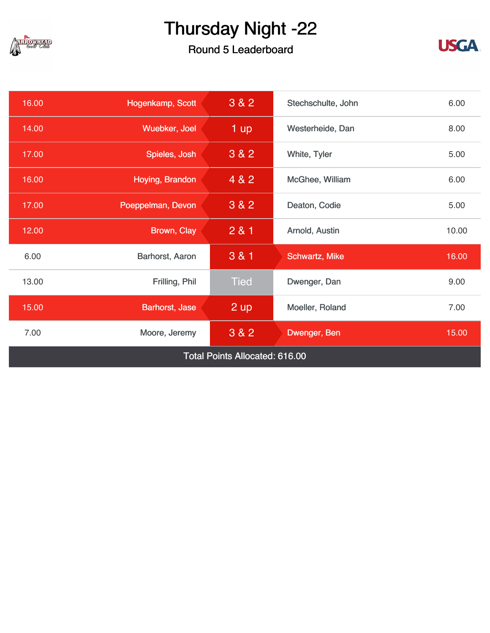

### Round 5 Leaderboard



| 16.00 | Hogenkamp, Scott                      | 3&82        | Stechschulte, John | 6.00  |  |  |  |
|-------|---------------------------------------|-------------|--------------------|-------|--|--|--|
| 14.00 | Wuebker, Joel                         | 1 up        | Westerheide, Dan   |       |  |  |  |
| 17.00 | Spieles, Josh                         | 3 & 2       | White, Tyler       |       |  |  |  |
| 16.00 | Hoying, Brandon                       | 4 & 2       | McGhee, William    |       |  |  |  |
| 17.00 | Poeppelman, Devon                     | $3&8&2$     | Deaton, Codie      | 5.00  |  |  |  |
| 12.00 | Brown, Clay                           | 281         | Arnold, Austin     | 10.00 |  |  |  |
| 6.00  | Barhorst, Aaron                       | 3 & 1       | Schwartz, Mike     | 16.00 |  |  |  |
| 13.00 | Frilling, Phil                        | <b>Tied</b> | Dwenger, Dan       | 9.00  |  |  |  |
| 15.00 | Barhorst, Jase                        | 2 up        | Moeller, Roland    | 7.00  |  |  |  |
| 7.00  | Moore, Jeremy                         | 3 & 2       | Dwenger, Ben       | 15.00 |  |  |  |
|       | <b>Total Points Allocated: 616.00</b> |             |                    |       |  |  |  |